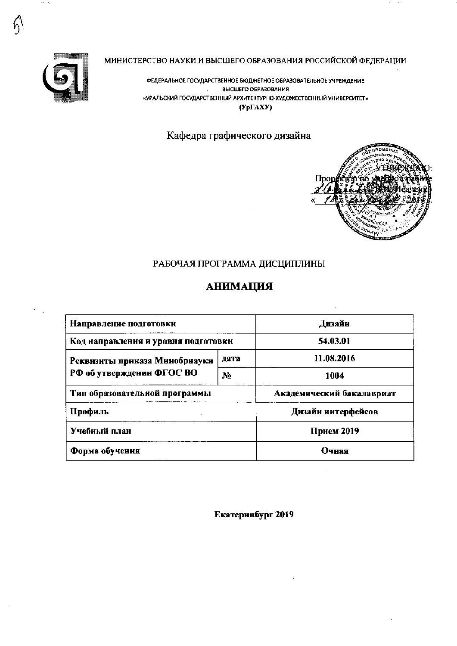

## МИНИСТЕРСТВО НАУКИ И ВЫСШЕГО ОБРАЗОВАНИЯ РОССИЙСКОЙ ФЕДЕРАЦИИ

ФЕДЕРАЛЬНОЕ ГОСУДАРСТВЕННОЕ БЮДЖЕТНОЕ ОБРАЗОВАТЕЛЬНОЕ УЧРЕЖДЕНИЕ ВЫСШЕГО ОБРАЗОВАНИЯ «УРАЛЬСКИЙ ГОСУДАРСТВЕННЫЙ АРХИТЕКТУРНО-ХУДОЖЕСТВЕННЫЙ УНИВЕРСИТЕТ»  $(Yp\Gamma A XY)$ 

## Кафедра графического дизайна



## РАБОЧАЯ ПРОГРАММА ДИСЦИПЛИНЫ

## **АНИМАЦИЯ**

| Направление подготовки              | Дизайн         |                           |  |  |
|-------------------------------------|----------------|---------------------------|--|--|
| Код направления и уровня подготовки | 54.03.01       |                           |  |  |
| Реквизиты приказа Минобрнауки       | дата           | 11.08.2016                |  |  |
| РФ об утверждении ФГОС ВО           | N <sub>2</sub> | 1004                      |  |  |
| Тип образовательной программы       |                | Академический бакалавриат |  |  |
| Профиль                             |                | Дизайн интерфейсов        |  |  |
| Учебный план                        | Прием 2019     |                           |  |  |
| Форма обучения                      | Очная          |                           |  |  |

Екатеринбург 2019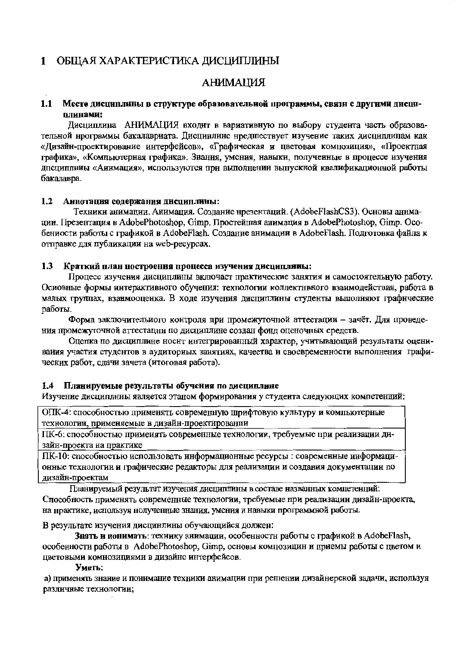## 1 ОБЩАЯ ХАРАКТЕРИСТИКА ДИСЦИПЛИНЫ

## RNINMALIA

#### $1.1$ Место дисциплины в структуре образовательной программы, связи с другими дисциплинами:

Лиспиплина АНИМАЦИЯ входит в вариативную по выбору студента часть образовательной нрограммы бакалавриата. Дисцинлине нредшествует изучение таких дисциплинам как «Дизайн-проектирование интерфейсов», «Графическая и пветовая композиция», «Проектная графика», «Компьютерная графика». Знания, умения, навыки, полученные в процессе изучения дпециплины «Анимация», используются при выполнении выпускной квалификационной работы бакалавра.

#### 1.2 Аннотация содержания дисциплины:

Техникн анимации. Анимация. Создание нрезентаций. (AdobeFlashCS3). Основы анимации. Презентация в AdobePhotoshop, Gimp. Простейшая анимация в AdobePhotoshop, Gimp. Ocoбениости работы с графикой в AdobeFlash. Создание анимации в AdobeFlash. Подготовка файла к отправке для публикации на web-ресурсах.

#### Краткий план построения процесса изучения дисциплины:  $1.3$

Процесс изучения дисциплины включает практические занятия и самостоятельную работу. Осиовные формы интерактивиого обучения: технологии коллективного взаимодействия, работа в малых группах, взаимооценка. В ходе изучения дисциплины студенты выполняют графнческие работы.

Форма заключительиого контроля при промежуточной аттестации - зачёт. Для проведения промежуточной аттестации по диспиплине создан фонд оценочных средств.

Оцепка по дисциплине носит интегрированный характер, учитывающий результаты оценивания участия студентов в аудиторных занятиях, качества и своевременности выполнения графических работ, сдачи зачета (итоговая работа).

#### $1.4$ Планируемые результаты обучения по дисциплине

Изучение дисциплнны является этаном формирования у студента следующих компетенций:

ОПК-4: способностью применять современную шрифтовую культуру и компьютерные технологии, применяемые в дизайн-проектировании

ПК-6: способностью примеиять современные технологии, требуемые при реализации дизайн-проекта на практике

ПК-10: способностью использовать информационные ресурсы : современные информационные технологии и графические редакторы для реализации и создания документации по лизайн-проектам

Планируемый результат изучения дисциплины в составе названных компетенций: Способность применять современные технологии, требуемые при реализации дизайн-проекта, на нрактике, используя нолученные знания, умения и навыки программной работы.

В результате изучения дисцинлины обучающийся должен:

Знать и понимать: технику анимации, особенностн работы с графикой в AdobeFlash, особенности работы в AdobePhotoshop, Gimp, основы композицин и приемы работы с цветом и цветовыми комнозициями в дизайне интерфейсов.

#### Уметь:

а) применять знание и понимание техники анимации при решении дизайнерской задачи, используя различные технологии;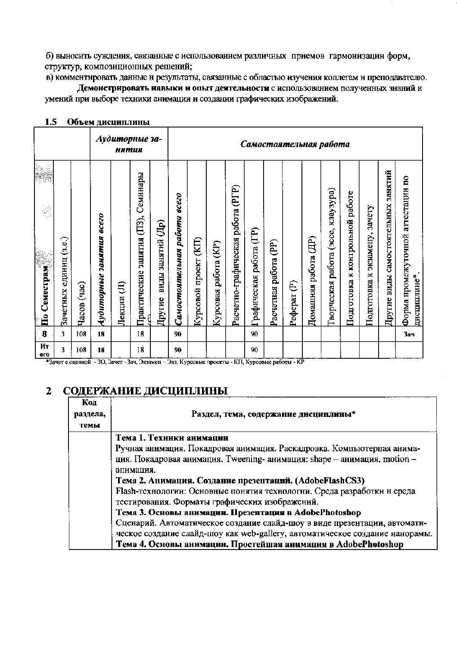б) выносить суждения, связанные с использованием различных приемов гармонизацин форм, структур, композиционных решений;

в) комментировать данные н результаты, связанные с областью изучения коллегам н преподавателю. Демонстрировать навыки и опыт деятельности с использованием полученных знаний и умений при выборе техники анимации и создании графических изображений.

| 1.J               |                           | ООБСМ ДИСЦИПЛИНЫ        |                       |             |                              |                                            |                              |                        |                            |                             |                         |                                   |              |                         |                                |                                |                           |                                     |                                                  |
|-------------------|---------------------------|-------------------------|-----------------------|-------------|------------------------------|--------------------------------------------|------------------------------|------------------------|----------------------------|-----------------------------|-------------------------|-----------------------------------|--------------|-------------------------|--------------------------------|--------------------------------|---------------------------|-------------------------------------|--------------------------------------------------|
|                   |                           |                         |                       | нятия       | Аудиторные за-               |                                            | Самостоятельная работа       |                        |                            |                             |                         |                                   |              |                         |                                |                                |                           |                                     |                                                  |
|                   |                           |                         |                       |             |                              |                                            |                              |                        |                            |                             |                         |                                   |              |                         |                                |                                |                           |                                     |                                                  |
| 繁                 |                           |                         | <b>8000</b>           |             | Семинары<br>(II3),           |                                            |                              |                        |                            | (PTP)                       |                         |                                   |              |                         | клаузура)                      | работе                         | зачету                    |                                     |                                                  |
| По Семестрам<br>F | единиц (з.е.)<br>Зачетных | $(\text{vac})$<br>Часов | занятия<br>Аудиторные | €<br>Лекции | занятия<br>Практические<br>d | $\widehat{A}$ p)<br>виды занятий<br>Другие | Самостоятельная работа всего | (E)<br>Курсовой проект | (KP)<br>работа<br>Курсовая | Расчетно-графическая работа | Графическая работа (ГР) | $\widehat{E}$<br>Расчетная работа | €<br>Реферат | (HD)<br>Домашняя работа | (acce,<br>работа<br>Гворческая | контрольной<br>×<br>Подготовка | экзамену,<br>Подготовка к | Другие виды самостоятельных занятий | Форма промежуточной аггестации по<br>дисциплине* |
| 8                 | 3                         | 108                     | 18                    |             | 18                           |                                            | 90                           |                        |                            |                             | 90                      |                                   |              |                         |                                |                                |                           |                                     | 3ач                                              |
| Ит<br><b>OLO</b>  | 3                         | 108                     | 18                    |             | 18                           |                                            | 90                           |                        |                            |                             | 90                      |                                   |              |                         |                                |                                |                           |                                     |                                                  |

## $15$  Often *nucuunnuuti*

+Зачет с оценкой - 30, Зачет - Зач, Экзамен - Экз, Курсовые проекты - КП, Курсовые работы - КР

#### СОДЕРЖАНИЕ ДИСЦИПЛИНЫ  $\overline{2}$

| Код<br>раздела, | Раздел, тема, содержание дисциплины*                                         |
|-----------------|------------------------------------------------------------------------------|
| темы            |                                                                              |
|                 | Тема 1. Техиики аинмации                                                     |
|                 | Ручная анимация. Покадровая анимация. Раскадровка. Компьютерпая анима-       |
|                 | ция. Покадровая анимация. Tweening- анимация: shape - анимация, motion -     |
|                 | апимация.                                                                    |
|                 | Тема 2. Анимация. Создание презентаций. (AdobeFlashCS3)                      |
|                 | Flash-технологии: Основные понятия технологии. Среда разработки и среда      |
|                 | тестирования. Форматы графических изображений.                               |
|                 | Тема 3. Основы анимации. Презентация в AdobePhotoshop                        |
|                 | Сценарий. Автоматическое создание слайд-шоу в виде презентации, автомати-    |
|                 | ческое создание слайд-шоу как web-gallery, автоматическое создание нанорамы. |
|                 | Тема 4. Основы анимации. Простейшая анимация в AdobePhotoshop                |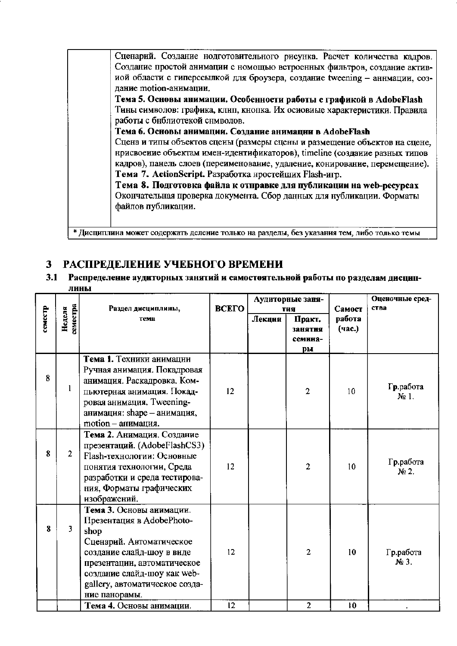Сценарий. Создание нодготовительного рисунка. Расчет количества кадров. Создание простой анимации с номощью встроенных фильтров, создание активиой области с гиперссылкой для броузера, создание tweening - аннмации, созлание motion-анимации.

Тема 5. Основы анимации. Особенности работы с графикой в AdobeFlash Тины символов: графика, клип, кнопка. Их осиовиые характеристики. Правила работы с бнблиотекой снмволов.

Тема 6. Основы анимации. Создание анимации в AdobeFlash

Сцена и типы объектов сцены (размеры сцены и размещение объектов на сцене, нрисвоение объектам имен-идентификаторов), timeline (создание разных типов кадров), панель слоев (переименование, удаление, конирование, перемещение). Тема 7. ActionScript. Разработка нростейших Flash-игр.

Тема 8. Подготовка файла к отправке для публикации на web-ресурсах Окончательная проверка документа. Сбор данных для нубликации. Форматы файлов публикации.

\* Дисциплина может содержать деление только на разделы, без указания тем, либо только темы

#### РАСПРЕДЕЛЕНИЕ УЧЕБНОГО ВРЕМЕНИ 3

 $3.1$ Распределение аудиторных занятий и самостоятельной работы по разделам дисциплины

|         |                    | Раздел дисциплины,                                                                                                                                                                                                                      | <b>ВСЕГО</b> |        | Аудиторные заня-                          | Самост           | Оценочные сред-<br>ства |
|---------|--------------------|-----------------------------------------------------------------------------------------------------------------------------------------------------------------------------------------------------------------------------------------|--------------|--------|-------------------------------------------|------------------|-------------------------|
| семестр | земестра<br>Неделя | тема                                                                                                                                                                                                                                    |              | Лекции | тия<br>Практ.<br>занятия<br>семина-<br>pы | работа<br>(час.) |                         |
| 8       | 1                  | Тема 1. Техники анимации<br>Ручная анимация. Покадровая<br>анимация. Раскадровка. Ком-<br>пьютерная анимация. Покад-<br>ровая анимация. Tweening-<br>анимация: shape - анимация,<br>motion - анимация.                                  | 12           |        | 2                                         | 10               | Гр.работа<br>$Ne1$ .    |
| 8       | $\overline{2}$     | Тема 2. Анимация. Создание<br>презентаций. (AdobeFlashCS3)<br>Flash-технологии: Основные<br>понятия технологии, Среда<br>разработки и среда тестирова-<br>ния, Форматы графических<br>изображений.                                      | 12           |        | $\overline{2}$                            | 10               | Гр.работа<br>$N2$ .     |
| 8       | 3                  | Тема 3. Основы анимации.<br>Презентация в AdobePhoto-<br>shop<br>Сценарий. Автоматическое<br>создание слайд-шоу в виде<br>презентации, автоматическое<br>создание слайд-шоу как web-<br>gallery, автоматическое созда-<br>ние панорамы. | 12           |        | $\overline{2}$                            | 10               | Гр.работа<br>$N2$ 3.    |
|         |                    | Тема 4. Основы анимации.                                                                                                                                                                                                                | 12           |        | $\overline{2}$                            | 10               |                         |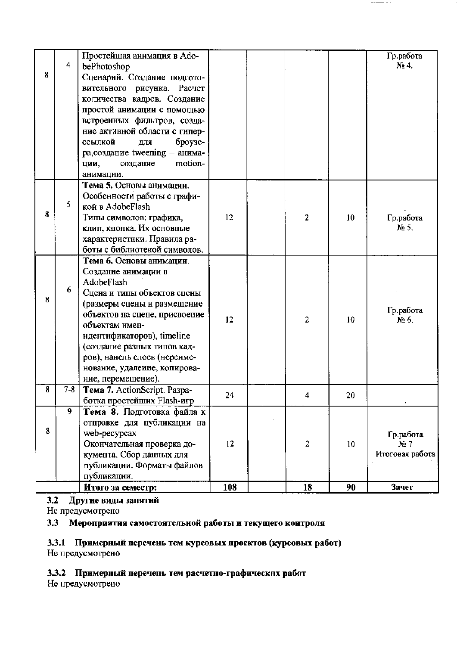|         | Итого за семестр:                                                                                                   | 108                                                                                                                                                                                                                                                               | 18             | 90 | Зачет                          |
|---------|---------------------------------------------------------------------------------------------------------------------|-------------------------------------------------------------------------------------------------------------------------------------------------------------------------------------------------------------------------------------------------------------------|----------------|----|--------------------------------|
|         | публикации.                                                                                                         |                                                                                                                                                                                                                                                                   |                |    |                                |
|         | кумента. Сбор данных для                                                                                            |                                                                                                                                                                                                                                                                   |                |    | Итоговая работа                |
|         | Окончательная проверка до-                                                                                          | 12                                                                                                                                                                                                                                                                | $\overline{2}$ | 10 | Гр.работа<br>Ne <sub>7</sub>   |
|         | отправке для публикации на                                                                                          |                                                                                                                                                                                                                                                                   |                |    |                                |
|         |                                                                                                                     |                                                                                                                                                                                                                                                                   |                |    |                                |
| $7 - 8$ | Тема 7. ActionScript. Paзpa-                                                                                        | 24                                                                                                                                                                                                                                                                | 4              |    |                                |
|         | ров), нанель слоев (нереиме-<br>нование, удалеиие, копирова-<br>ние, перемещение).                                  |                                                                                                                                                                                                                                                                   |                |    |                                |
|         | идентификаторов), timeline<br>(создание разных типов кад-                                                           |                                                                                                                                                                                                                                                                   |                |    |                                |
|         | (размеры сцены и размещение<br>объектов на сцене, присвоение<br>объектам имен-                                      | 12                                                                                                                                                                                                                                                                | $\overline{2}$ | 10 | Гр.работа<br>N <sub>2</sub> 6. |
| 6       | Тема 6. Основы анимации.<br>Создание анимации в<br>AdobeFlash<br>Сцена и типы объектов сцены                        |                                                                                                                                                                                                                                                                   |                |    |                                |
|         | Типы символов: графика,<br>клип, кнонка. Их основные<br>характеристики. Правила ра-<br>боты с библиотекой символов. | 12                                                                                                                                                                                                                                                                | $\overline{2}$ | 10 | Гр.работа<br>No 5.             |
| 5       | Тема 5. Основы анимации.<br>Особенности работы с графи-<br>кой в AdobeFlash                                         |                                                                                                                                                                                                                                                                   |                |    |                                |
|         | motion-<br>создание<br>ЦИИ,<br>анимации.                                                                            |                                                                                                                                                                                                                                                                   |                |    |                                |
|         | ссылкой<br>броузе-<br>ДЛЯ                                                                                           |                                                                                                                                                                                                                                                                   |                |    |                                |
|         | ние активной области с гипер-                                                                                       |                                                                                                                                                                                                                                                                   |                |    |                                |
|         |                                                                                                                     |                                                                                                                                                                                                                                                                   |                |    |                                |
|         | количества кадров. Создание                                                                                         |                                                                                                                                                                                                                                                                   |                |    |                                |
|         | Сценарий. Создание подгото-                                                                                         |                                                                                                                                                                                                                                                                   |                |    |                                |
| 4       | bePhotoshop                                                                                                         |                                                                                                                                                                                                                                                                   |                |    | Гр.работа<br>No. 4.            |
|         | $\overline{9}$                                                                                                      | Простейшая анимация в Ado-<br>вительного рисунка. Расчет<br>простой анимации с помощью<br>встроенных фильтров, созда-<br>ра, создание tweening - анима-<br>ботка простейших Flash-игр<br>Тема 8. Подготовка файла к<br>web-pecypcax<br>публикации. Форматы файлов |                |    | 20                             |

 $- - -$ -- - -

 $\cdot$  .

## 3.2 Другие виды занятий

Не предусмотрепо

# 3.3 Мероприятия самостоятельной работы и текущего контроля

# 3.3.1 Примерный перечень тем курсовых проектов (курсовых работ)<br>Не предусмотрено

## 3.3.2 Примерный перечень тем расчетно-графических работ

Не предусмотрено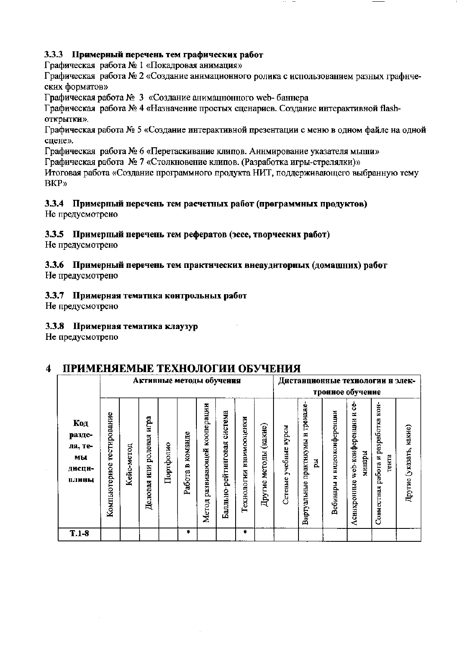## 3.3.3 Примерный перечень тем графических работ

Графическая работа № 1 «Покадровая анимация»

Графическая работа № 2 «Создание анимационного ролика с использованием разных графнческих форматов»

Графическая работа № 3 «Создание анимационного web- баннера

Графическая работа № 4 «Назначение простых сценариев. Создание интерактивной flashоткрытки».

Графическая работа № 5 «Создание интерактивной презентации с меню в одном файле на одной сцене».

Графическая работа № 6 «Перетаскивание клипов. Аннмирование указателя мыши»

Графическая работа № 7 «Столкновение клипов. (Разработка игры-стрелялки)»

Итоговая работа «Создание программного продукта НИТ, поддерживающего выбранную тему **BKP»** 

#### 3.3.4 Примерный перечень тем расчетных работ (программных продуктов) Не предусмотрено

## 3.3.5 Примерный перечень тем рефератов (эссе, творческих работ)

Не предусмотрено

# 3.3.6 Примерный перечень тем практических внеаудиторных (домашних) работ

Не предусмотрено

## 3.3.7 Примерная тематика контрольных работ

Не предусмотрено

#### 3.3.8 Примерная тематика клаузур

Не предусмотрепо

#### ПРИМЕНЯЕМЫЕ ТЕХНОЛОГИИ ОБУЧЕНИЯ  $\boldsymbol{4}$

|                                                   |                              |            |                                   |           | Активные методы обучения |                                    |                                   |                            |                              |                                   | Дистанционные технологии и элек-                 |                                   |                                                     |                                                 |                            |
|---------------------------------------------------|------------------------------|------------|-----------------------------------|-----------|--------------------------|------------------------------------|-----------------------------------|----------------------------|------------------------------|-----------------------------------|--------------------------------------------------|-----------------------------------|-----------------------------------------------------|-------------------------------------------------|----------------------------|
|                                                   |                              |            |                                   |           |                          |                                    |                                   |                            |                              | тронное обучение                  |                                                  |                                   |                                                     |                                                 |                            |
| Код<br>разде-<br>ла, те-<br>мы<br>лисци-<br>плины | тестирование<br>Компьютерное | Кейс-метод | нгра<br>ролевая<br>HШН<br>Деловая | Портфолио | команде<br>Α<br>Работа   | кооперации<br>развивающей<br>Meron | система<br>рейтинговая<br>Балльно | взаимооценки<br>Гехнологии | (какне)<br>методы<br>Другие. | <b>RodA</b><br>учебные<br>Сетевые | тренаже-<br>Z,<br>практикумы<br>Ă<br>Виртуальные | видеоконференции<br>H<br>Вебинары | ė<br>×,<br>web-конференции<br>минары<br>Асинхронные | работа и разработка кон-<br>тента<br>Совместная | какие)<br>Другие (указать, |
| $T.1-8$                                           |                              |            |                                   |           | ۰                        |                                    |                                   | ۰                          |                              |                                   |                                                  |                                   |                                                     |                                                 |                            |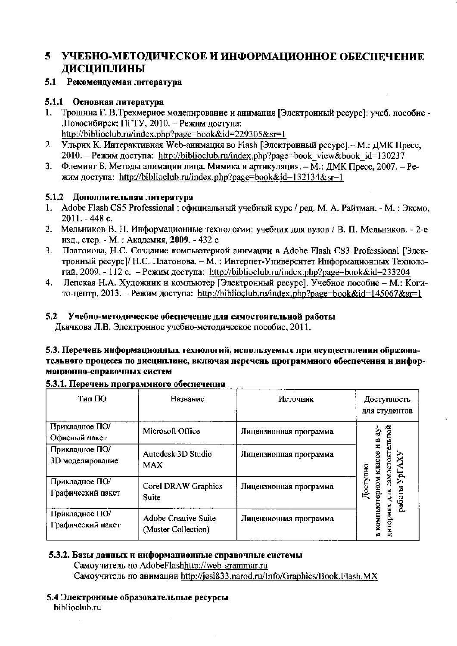#### УЧЕБНО-МЕТОДИЧЕСКОЕ И ИНФОРМАЦИОННОЕ ОБЕСПЕЧЕНИЕ 5. **ДИСЦИПЛИНЫ**

### 5.1 Рекомендуемая литература

#### 5.1.1 Основная литература

- 1. Трошина Г. В. Трехмерное моделирование и анимация [Электронный ресурс]: учеб. пособие -.Новосибирск: НГТУ, 2010. - Режим доступа: http://biblioclub.ru/index.php?page=book&id=229305&sr=1
- 2. Ульрих К. Интерактивная Web-анимация во Flash [Электронный ресурс]. М.: ДМК Пресс, 2010. – Режим доступа: http://biblioclub.ru/index.php?page=book view&book id=130237
- Флеминг Б. Методы анимации лица. Мимика и артикуляция. М.: ДМК Пресс, 2007. Ре- $3<sub>1</sub>$ жим доступа: http://biblioclub.ru/index.php?page=book&id=132134&sr=1

#### 5.1.2 Дополнительная литература

- 1. Adobe Flash CS5 Professional: официальный учебный курс / ред. М. А. Райтман. М.: Эксмо, 2011. - 448 с.
- 2. Мельников В. П. Информационные технологии: учебник для вузов / В. П. Мельников. 2-е изд., стер. - М. : Академия, 2009. - 432 с
- Платоиова, Н.С. Создание компьютериой анимации в Adobe Flash CS3 Professional [Элек-3. тронный ресурс]/ Н.С. Платонова. - М. : Интернет-Университет Информационных Технологий, 2009. - 112 с. – Режим доступа: http://biblioclub.ru/index.php?page=book&id=233204
- $4.$ Лепская Н.А. Художиик и компьютер [Электронный ресурс]. Учебное пособие - М.: Когито-центр, 2013. – Режим доступа: http://biblioclub.ru/index.php?page=book&id=145067&sr=1

#### 5.2 Учебно-методическое обеспечение для самостоятельной работы

Дьячкова Л.В. Электронное учебно-методическое пособие, 2011.

#### 5.3. Перечень информационных технологий, используемых при осуществлении образовательного процесса по днецнплине, включая перечень программного обеспечення и информационно-справочных систем

| Тип ПО                              | Название                                    | Источник               | Доступность<br>для студентов               |
|-------------------------------------|---------------------------------------------|------------------------|--------------------------------------------|
| Прикладное ПО/<br>Офисный пакет     | Microsoft Office                            | Лицензионная программа | альной<br>à<br>ИB                          |
| Прикладное ПО/<br>3D моделирование  | Autodesk 3D Studio<br><b>MAX</b>            | Лицензионная программа | самостоят<br><b>KUISE</b>                  |
| Прикладное ПО/<br>Графический пакет | Corel DRAW Graphics<br>Suite                | Лицензионная программа | Доступно<br>JpL<br>HOM<br>работы<br>룜<br>Ě |
| Прикладное ПО/<br>Графический пакет | Adobe Creative Suite<br>(Master Collection) | Лицензионная программа | дигориях<br><b>KOMILIPI</b><br>œ           |

#### 5.3.1. Перечень программного обеспечения

#### 5.3.2. Базы данных и информационные справочные системы

Самоучитель по AdobeFlashhttp://web-grammar.ru Самоучитель по анимации http://jesi833.narod.ru/Info/Graphics/Book.Flash.MX

5.4 Электрониые образовательные ресурсы biblioclub.ru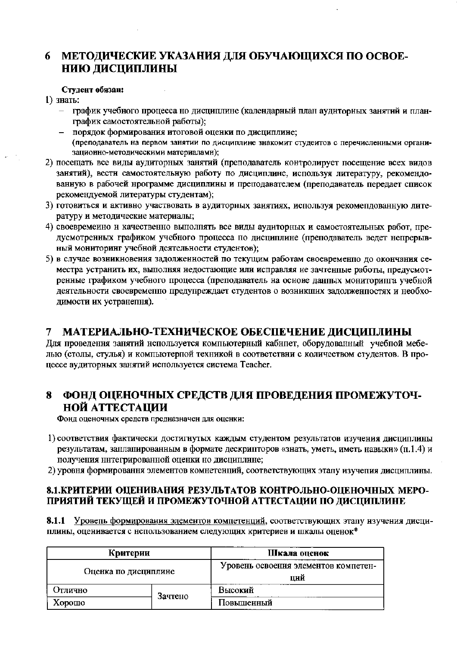#### 6 МЕТОДИЧЕСКИЕ УКАЗАНИЯ ДЛЯ ОБУЧАЮЩИХСЯ ПО ОСВОЕ-НИЮ ДИСЦИПЛИНЫ

#### Студент обязан:

1) знать:

- график учебного процесса но дисциплине (календарный план аудиторных занятий и планграфик самостоятельной работы);
- порядок формирования итоговой оценки по дисциплине; (преподаватель на первом занятии по дисциплине знакомит студеитов с перечисленными организационно-методическими материаламн);
- 2) посещать все виды аудиторных занятий (преподаватель контролирует посещение всех видов занятий), вестн самостоятельную работу по дисциплине, используя литературу, рекомендованную в рабочей нрограмме дисциплины и преподавателем (преподаватель передает список рекомендуемой литературы студентам);
- 3) готовиться и активно участвовать в аудиторных заиятиях, используя рекомепдованную литературу и методические материалы;
- 4) своевременно н качественно выполнять все виды аудиторных и самостоятельных работ, предусмотренных графиком учебного процесса по дисциплине (преподаватель ведет непрерывный мониторинг учебной деятельности студентов);
- 5) в случае возникновения задолженностей по текущим работам своевременно до окончания семестра устранить их, выполняя недостающие или исправляя не зачтенные работы, предусмотренные графиком учебного процесса (преподаватель на основе данных мониторипга учебной деятельности своевременно предупреждает студентов о возникших задолженностях и необходимости их устранепня).

#### МАТЕРИАЛЬНО-ТЕХНИЧЕСКОЕ ОБЕСПЕЧЕНИЕ ДИСЦИПЛИНЫ 7

Для проведення занятий непользуется компьютерный кабнпет, оборудованный учеблой мебелью (столы, стулья) и компьютерпой техникой в соответствни с количеством студентов. В процессе аудиторных занятий используется система Teacher.

#### ФОНД ОЦЕНОЧНЫХ СРЕДСТВ ДЛЯ ПРОВЕДЕНИЯ ПРОМЕЖУТОЧ-8 НОЙ АТТЕСТАЦИИ

Фонд оценочных средств предназначен для оценки:

- 1) соответствия фактически достигнутых каждым студентом результатов изучения дисциплины результатам, заплапированным в формате дескрипторов «знать, уметь, иметь навыки» (п.1.4) и получения ннтегрированной оценки но дисциплине;
- 2) уровня формировання элементов комнетенций, соответствующих этапу изучепия дисциплины.

#### 8.1. КРИТЕРИИ ОЦЕНИВАНИЯ РЕЗУЛЬТАТОВ КОНТРОЛЬНО-ОЦЕНОЧНЫХ МЕРО-ПРИЯТИЙ ТЕКУЩЕЙ И ПРОМЕЖУТОЧНОЙ АТТЕСТАЦИИ ПО ДИСЦИПЛИНЕ

8.1.1 Уровень формирования элементов компетенций, соответствующих этапу изучения дисциплины, оценивается с непользованием следующих критериев и шкалы оценок\*

| Критерии             |         | Шкала оценок                                |  |  |  |  |
|----------------------|---------|---------------------------------------------|--|--|--|--|
| Оценка по дисциплине |         | Уровень освоення элементов компетен-<br>ЦНЙ |  |  |  |  |
| Отлично              | Зачтено | Высокий                                     |  |  |  |  |
| Хорошо               |         | Повышенный                                  |  |  |  |  |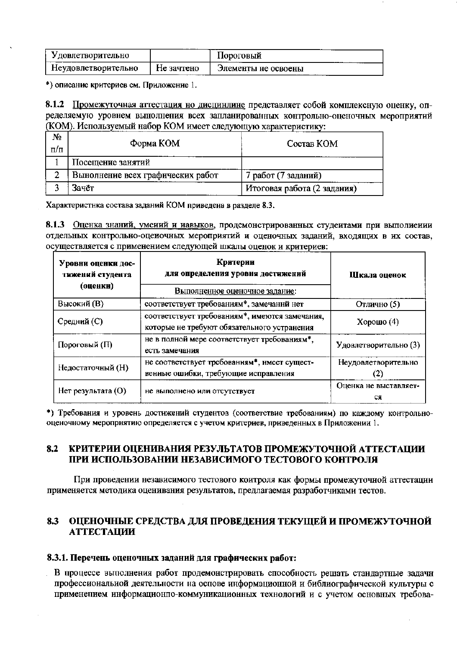| <b>Удовлетворительно</b> |            | Пороговый           |  |
|--------------------------|------------|---------------------|--|
| Неудовлетворительно      | Не зачтено | Элементы не освоены |  |

\*) описание критериев см. Приложение 1.

8.1.2 Промежуточная аттестация но дисцинлине представляет собой комплексную оценку, определяемую уровнем вынолнения всех запланированных контрольно-оценочных мероприятий (КОМ). Используемый набор КОМ имеет следующую характеристику:

| N٥<br>п/п | Форма КОМ                         | Состав КОМ                  |
|-----------|-----------------------------------|-----------------------------|
|           | Посещение занятий                 |                             |
| 2         | Вынолнение всех графических работ | 7 работ (7 заданий)         |
|           | Зачёт                             | Итоговая работа (2 задания) |

Характеристнка состава заданий КОМ приведена в разделе 8.3.

8.1.3 Оценка знаний, умений и навыков, продемонстрированных студеитами при выполиении отдельных контрольно-оцеиочных мероприятий и оценочных заданий, входящих в их состав, осуществляется с применением следующей шкалы оценок и критериев:

| Уровни оценки дос-<br>тижений студента<br>(оценки) | Критерии<br>для определения уровня достижений<br>Выполненное оценочное задание:               | Шкала оценок                |
|----------------------------------------------------|-----------------------------------------------------------------------------------------------|-----------------------------|
| Высокий (В)                                        | соответствует требованиям*, замечаннй нет                                                     | Отлично (5)                 |
| Средний (С)                                        | соответствует требованиям*, имеются замечания,<br>которые не требуют обязательного устранения | Хорошо $(4)$                |
| Пороговый (П)                                      | не в полной мере соответствует требованиям*,<br>есть замечания                                | Удовлетворительно (3)       |
| Недостаточный (Н)                                  | не соответствует требованиям*, нмеет сущест-<br>венные ошибки, требующие исправления          | Неудовлетворительно         |
| Нет результата (О)                                 | не выполнено или отсутствует                                                                  | Оценка не выставляет-<br>CЯ |

\*) Требования и уровень достижений студентов (соответствие требованиям) по каждому контрольнооценочному меропрнятию определяется с учетом критериев, приведенных в Приложении 1.

#### 8.2 КРИТЕРИИ ОЦЕНИВАНИЯ РЕЗУЛЬТАТОВ ПРОМЕЖУТОЧНОЙ АТТЕСТАЦИИ ПРИ ИСПОЛЬЗОВАНИИ НЕЗАВИСИМОГО ТЕСТОВОГО КОНТРОЛЯ

При проведении независимого тестового коитроля как формы промежуточной аттестации применяется методика оценивания результатов, предлагаемая разработчиками тестов.

#### ОЦЕНОЧНЫЕ СРЕДСТВА ДЛЯ ПРОВЕДЕНИЯ ТЕКУЩЕЙ И ПРОМЕЖУТОЧНОЙ 8.3 **АТТЕСТАЦИИ**

#### 8.3.1. Перечень оценочных заданий для графических работ:

В процессе выполнения работ продемонстрировать способность решать стандартные задачн профессиональиой деятельности на оспове информационной и библиографической культуры с применением информационно-коммуникационных технологий и с учетом основных требова-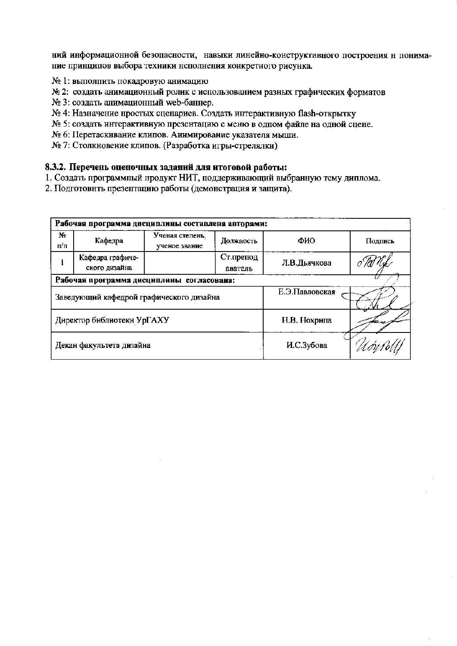ний информационной безопасности, навыки линейно-конструктивного построения н понимание принципов выбора техники нсполнения конкретного рисунка.

- № 1: выполнить покадровую анимацию
- № 2: создать анимационный ролик с использованием разных графических форматов
- № 3: создать анимационный web-баннер.
- № 4: Назначение нростых сценариев. Создать иптерактивную flash-открытку
- № 5: создать интерактивную презентацию с меню в одпом файле на одной сцене.
- № 6: Перетаскивание клипов. Аиимирование указателя мыши.
- № 7: Столкновение клипов. (Разработка игры-стрелялки)

#### 8.3.2. Перечень оценочных заданий для итоговой работы:

- 1. Создать программпый продукт НИТ, поддерживающий выбранную тему диплома.
- 2. Подготовнть презептацию работы (демонстрация и защита).

|                                           | Рабочая программа дисциплины составлена авторами: |                                  |                      |              |         |  |  |  |  |  |
|-------------------------------------------|---------------------------------------------------|----------------------------------|----------------------|--------------|---------|--|--|--|--|--|
| N2<br>п⁄п                                 | Кафедра                                           | Ученая степень,<br>ученое звание | Должность            | ФИО          | Подпись |  |  |  |  |  |
|                                           | Кафедра графиче-<br>ского дизайна                 |                                  | Ст.препод<br>аватель | Л.В.Дьячкова |         |  |  |  |  |  |
| Рабочая программа дисциплины согласована: |                                                   |                                  |                      |              |         |  |  |  |  |  |
|                                           | Заведующий кафедрой графического дизайна          |                                  | Е.Э.Павловская       |              |         |  |  |  |  |  |
|                                           | Директор библиотеки УрГАХУ                        |                                  | Н.В. Нохрипа         |              |         |  |  |  |  |  |
|                                           | Декан факультета дизайна                          |                                  | И.С.Зубова           |              |         |  |  |  |  |  |